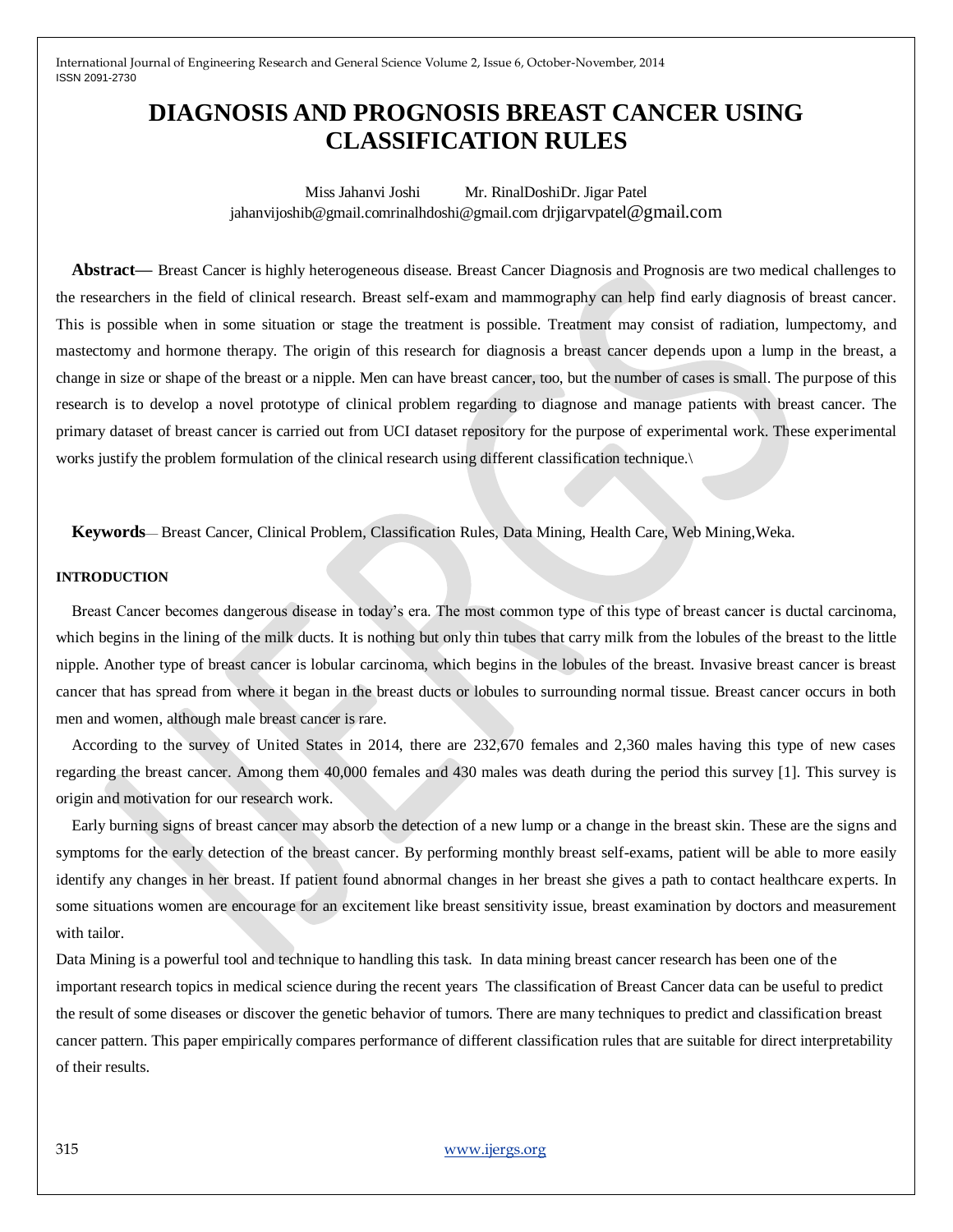# **DIAGNOSIS AND PROGNOSIS BREAST CANCER USING CLASSIFICATION RULES**

Miss Jahanvi Joshi Mr. RinalDoshiDr. Jigar Patel jahanvijoshib@gmail.comrinalhdoshi@gmail.com drjigarvpatel@gmail.com

**Abstract—** Breast Cancer is highly heterogeneous disease. Breast Cancer Diagnosis and Prognosis are two medical challenges to the researchers in the field of clinical research. Breast self-exam and mammography can help find early diagnosis of breast cancer. This is possible when in some situation or stage the treatment is possible. Treatment may consist of radiation, lumpectomy, and mastectomy and hormone therapy. The origin of this research for diagnosis a breast cancer depends upon a lump in the breast, a change in size or shape of the breast or a nipple. Men can have breast cancer, too, but the number of cases is small. The purpose of this research is to develop a novel prototype of clinical problem regarding to diagnose and manage patients with breast cancer. The primary dataset of breast cancer is carried out from UCI dataset repository for the purpose of experimental work. These experimental works justify the problem formulation of the clinical research using different classification technique.\

**Keywords**— Breast Cancer, Clinical Problem, Classification Rules, Data Mining, Health Care, Web Mining,Weka.

#### **INTRODUCTION**

Breast Cancer becomes dangerous disease in today's era. The most common type of this type of breast cancer is ductal carcinoma, which begins in the lining of the milk ducts. It is nothing but only thin tubes that carry milk from the lobules of the breast to the little nipple. Another type of breast cancer is lobular carcinoma, which begins in the lobules of the breast. Invasive breast cancer is breast cancer that has spread from where it began in the breast ducts or lobules to surrounding normal tissue. Breast cancer occurs in both men and women, although male breast cancer is rare.

According to the survey of United States in 2014, there are 232,670 females and 2,360 males having this type of new cases regarding the breast cancer. Among them 40,000 females and 430 males was death during the period this survey [1]. This survey is origin and motivation for our research work.

Early burning signs of breast cancer may absorb the detection of a new lump or a change in the breast skin. These are the signs and symptoms for the early detection of the breast cancer. By performing monthly breast self-exams, patient will be able to more easily identify any changes in her breast. If patient found abnormal changes in her breast she gives a path to contact healthcare experts. In some situations women are encourage for an excitement like breast sensitivity issue, breast examination by doctors and measurement with tailor.

Data Mining is a powerful tool and technique to handling this task. In data mining breast cancer research has been one of the important research topics in medical science during the recent years The classification of Breast Cancer data can be useful to predict the result of some diseases or discover the genetic behavior of tumors. There are many techniques to predict and classification breast cancer pattern. This paper empirically compares performance of different classification rules that are suitable for direct interpretability of their results.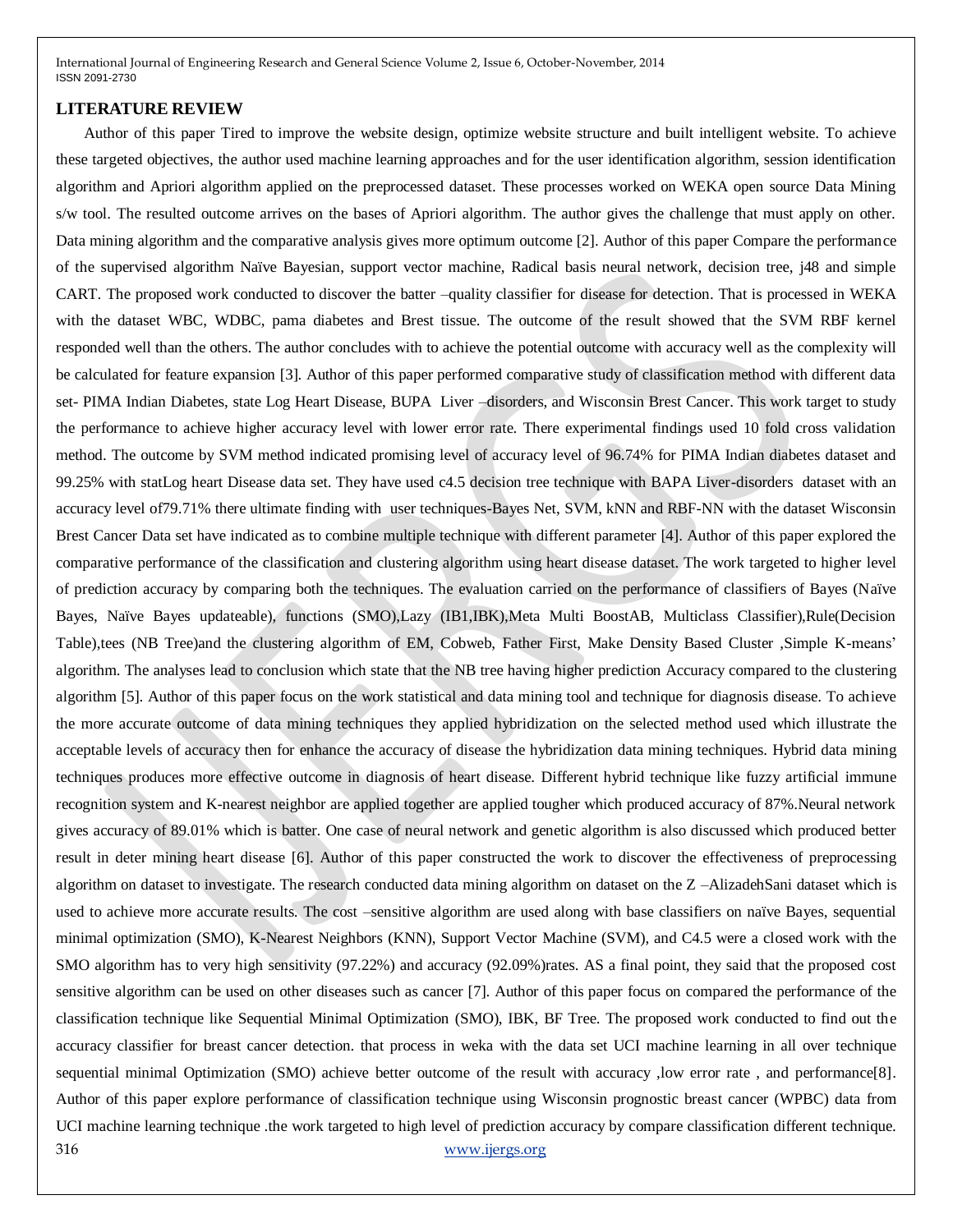#### **LITERATURE REVIEW**

316 [www.ijergs.org](http://www.ijergs.org/) Author of this paper Tired to improve the website design, optimize website structure and built intelligent website. To achieve these targeted objectives, the author used machine learning approaches and for the user identification algorithm, session identification algorithm and Apriori algorithm applied on the preprocessed dataset. These processes worked on WEKA open source Data Mining s/w tool. The resulted outcome arrives on the bases of Apriori algorithm. The author gives the challenge that must apply on other. Data mining algorithm and the comparative analysis gives more optimum outcome [2]. Author of this paper Compare the performance of the supervised algorithm Naïve Bayesian, support vector machine, Radical basis neural network, decision tree, j48 and simple CART. The proposed work conducted to discover the batter –quality classifier for disease for detection. That is processed in WEKA with the dataset WBC, WDBC, pama diabetes and Brest tissue. The outcome of the result showed that the SVM RBF kernel responded well than the others. The author concludes with to achieve the potential outcome with accuracy well as the complexity will be calculated for feature expansion [3]. Author of this paper performed comparative study of classification method with different data set- PIMA Indian Diabetes, state Log Heart Disease, BUPA Liver –disorders, and Wisconsin Brest Cancer. This work target to study the performance to achieve higher accuracy level with lower error rate. There experimental findings used 10 fold cross validation method. The outcome by SVM method indicated promising level of accuracy level of 96.74% for PIMA Indian diabetes dataset and 99.25% with statLog heart Disease data set. They have used c4.5 decision tree technique with BAPA Liver-disorders dataset with an accuracy level of79.71% there ultimate finding with user techniques-Bayes Net, SVM, kNN and RBF-NN with the dataset Wisconsin Brest Cancer Data set have indicated as to combine multiple technique with different parameter [4]. Author of this paper explored the comparative performance of the classification and clustering algorithm using heart disease dataset. The work targeted to higher level of prediction accuracy by comparing both the techniques. The evaluation carried on the performance of classifiers of Bayes (Naïve Bayes, Naïve Bayes updateable), functions (SMO),Lazy (IB1,IBK),Meta Multi BoostAB, Multiclass Classifier),Rule(Decision Table),tees (NB Tree)and the clustering algorithm of EM, Cobweb, Father First, Make Density Based Cluster ,Simple K-means' algorithm. The analyses lead to conclusion which state that the NB tree having higher prediction Accuracy compared to the clustering algorithm [5]. Author of this paper focus on the work statistical and data mining tool and technique for diagnosis disease. To achieve the more accurate outcome of data mining techniques they applied hybridization on the selected method used which illustrate the acceptable levels of accuracy then for enhance the accuracy of disease the hybridization data mining techniques. Hybrid data mining techniques produces more effective outcome in diagnosis of heart disease. Different hybrid technique like fuzzy artificial immune recognition system and K-nearest neighbor are applied together are applied tougher which produced accuracy of 87%.Neural network gives accuracy of 89.01% which is batter. One case of neural network and genetic algorithm is also discussed which produced better result in deter mining heart disease [6]. Author of this paper constructed the work to discover the effectiveness of preprocessing algorithm on dataset to investigate. The research conducted data mining algorithm on dataset on the Z –AlizadehSani dataset which is used to achieve more accurate results. The cost –sensitive algorithm are used along with base classifiers on naïve Bayes, sequential minimal optimization (SMO), K-Nearest Neighbors (KNN), Support Vector Machine (SVM), and C4.5 were a closed work with the SMO algorithm has to very high sensitivity (97.22%) and accuracy (92.09%)rates. AS a final point, they said that the proposed cost sensitive algorithm can be used on other diseases such as cancer [7]. Author of this paper focus on compared the performance of the classification technique like Sequential Minimal Optimization (SMO), IBK, BF Tree. The proposed work conducted to find out the accuracy classifier for breast cancer detection. that process in weka with the data set UCI machine learning in all over technique sequential minimal Optimization (SMO) achieve better outcome of the result with accuracy ,low error rate , and performance[8]. Author of this paper explore performance of classification technique using Wisconsin prognostic breast cancer (WPBC) data from UCI machine learning technique .the work targeted to high level of prediction accuracy by compare classification different technique.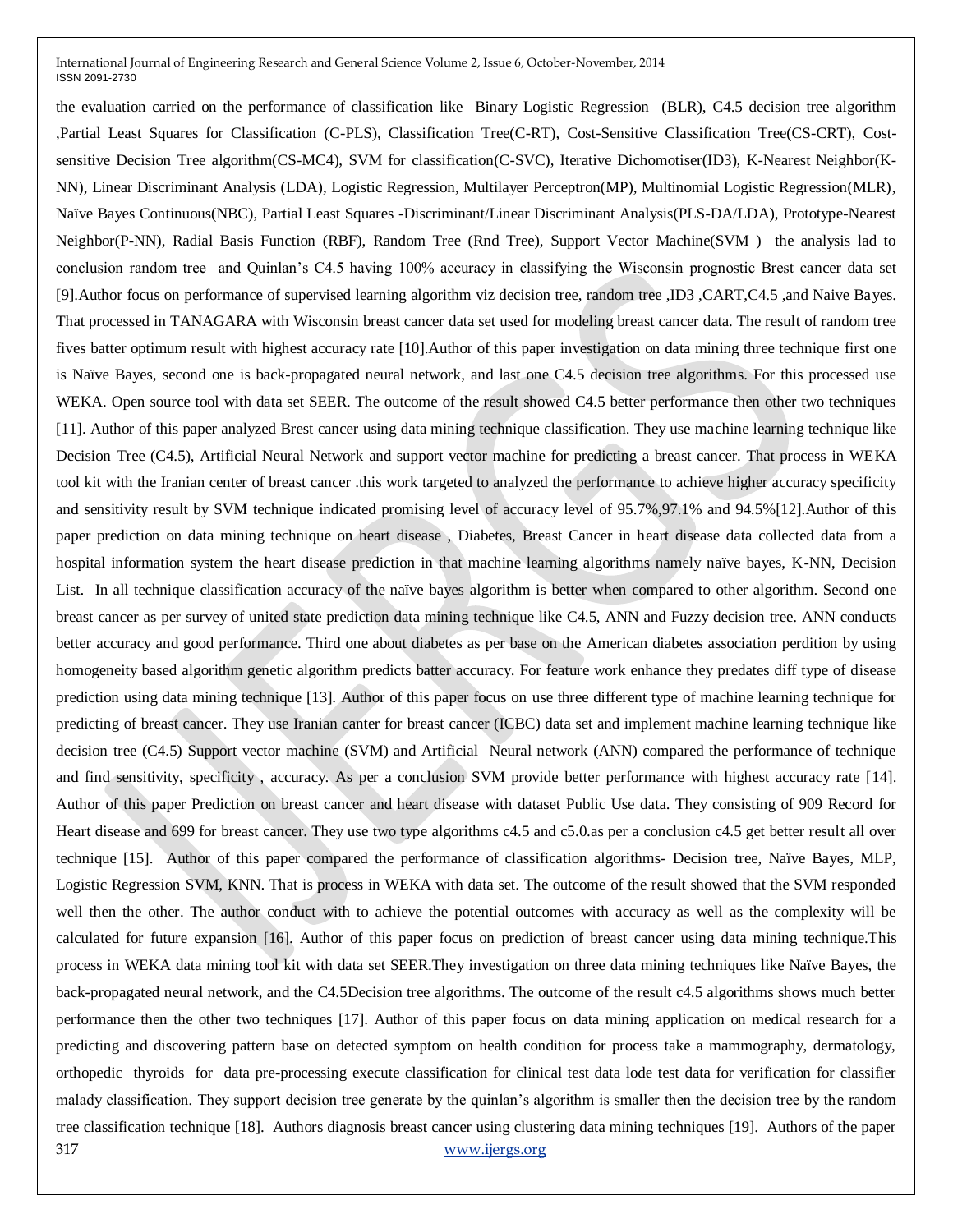317 [www.ijergs.org](http://www.ijergs.org/) the evaluation carried on the performance of classification like Binary Logistic Regression (BLR), C4.5 decision tree algorithm ,Partial Least Squares for Classification (C-PLS), Classification Tree(C-RT), Cost-Sensitive Classification Tree(CS-CRT), Costsensitive Decision Tree algorithm(CS-MC4), SVM for classification(C-SVC), Iterative Dichomotiser(ID3), K-Nearest Neighbor(K-NN), Linear Discriminant Analysis (LDA), Logistic Regression, Multilayer Perceptron(MP), Multinomial Logistic Regression(MLR), Naïve Bayes Continuous(NBC), Partial Least Squares -Discriminant/Linear Discriminant Analysis(PLS-DA/LDA), Prototype-Nearest Neighbor(P-NN), Radial Basis Function (RBF), Random Tree (Rnd Tree), Support Vector Machine(SVM ) the analysis lad to conclusion random tree and Quinlan's C4.5 having 100% accuracy in classifying the Wisconsin prognostic Brest cancer data set [9].Author focus on performance of supervised learning algorithm viz decision tree, random tree ,ID3 ,CART,C4.5 ,and Naive Bayes. That processed in TANAGARA with Wisconsin breast cancer data set used for modeling breast cancer data. The result of random tree fives batter optimum result with highest accuracy rate [10].Author of this paper investigation on data mining three technique first one is Naïve Bayes, second one is back-propagated neural network, and last one C4.5 decision tree algorithms. For this processed use WEKA. Open source tool with data set SEER. The outcome of the result showed C4.5 better performance then other two techniques [11]. Author of this paper analyzed Brest cancer using data mining technique classification. They use machine learning technique like Decision Tree (C4.5), Artificial Neural Network and support vector machine for predicting a breast cancer. That process in WEKA tool kit with the Iranian center of breast cancer .this work targeted to analyzed the performance to achieve higher accuracy specificity and sensitivity result by SVM technique indicated promising level of accuracy level of 95.7%,97.1% and 94.5%[12].Author of this paper prediction on data mining technique on heart disease , Diabetes, Breast Cancer in heart disease data collected data from a hospital information system the heart disease prediction in that machine learning algorithms namely naïve bayes, K-NN, Decision List. In all technique classification accuracy of the naïve bayes algorithm is better when compared to other algorithm. Second one breast cancer as per survey of united state prediction data mining technique like C4.5, ANN and Fuzzy decision tree. ANN conducts better accuracy and good performance. Third one about diabetes as per base on the American diabetes association perdition by using homogeneity based algorithm genetic algorithm predicts batter accuracy. For feature work enhance they predates diff type of disease prediction using data mining technique [13]. Author of this paper focus on use three different type of machine learning technique for predicting of breast cancer. They use Iranian canter for breast cancer (ICBC) data set and implement machine learning technique like decision tree (C4.5) Support vector machine (SVM) and Artificial Neural network (ANN) compared the performance of technique and find sensitivity, specificity , accuracy. As per a conclusion SVM provide better performance with highest accuracy rate [14]. Author of this paper Prediction on breast cancer and heart disease with dataset Public Use data. They consisting of 909 Record for Heart disease and 699 for breast cancer. They use two type algorithms c4.5 and c5.0.as per a conclusion c4.5 get better result all over technique [15]. Author of this paper compared the performance of classification algorithms- Decision tree, Naïve Bayes, MLP, Logistic Regression SVM, KNN. That is process in WEKA with data set. The outcome of the result showed that the SVM responded well then the other. The author conduct with to achieve the potential outcomes with accuracy as well as the complexity will be calculated for future expansion [16]. Author of this paper focus on prediction of breast cancer using data mining technique.This process in WEKA data mining tool kit with data set SEER.They investigation on three data mining techniques like Naïve Bayes, the back-propagated neural network, and the C4.5Decision tree algorithms. The outcome of the result c4.5 algorithms shows much better performance then the other two techniques [17]. Author of this paper focus on data mining application on medical research for a predicting and discovering pattern base on detected symptom on health condition for process take a mammography, dermatology, orthopedic thyroids for data pre-processing execute classification for clinical test data lode test data for verification for classifier malady classification. They support decision tree generate by the quinlan's algorithm is smaller then the decision tree by the random tree classification technique [18]. Authors diagnosis breast cancer using clustering data mining techniques [19]. Authors of the paper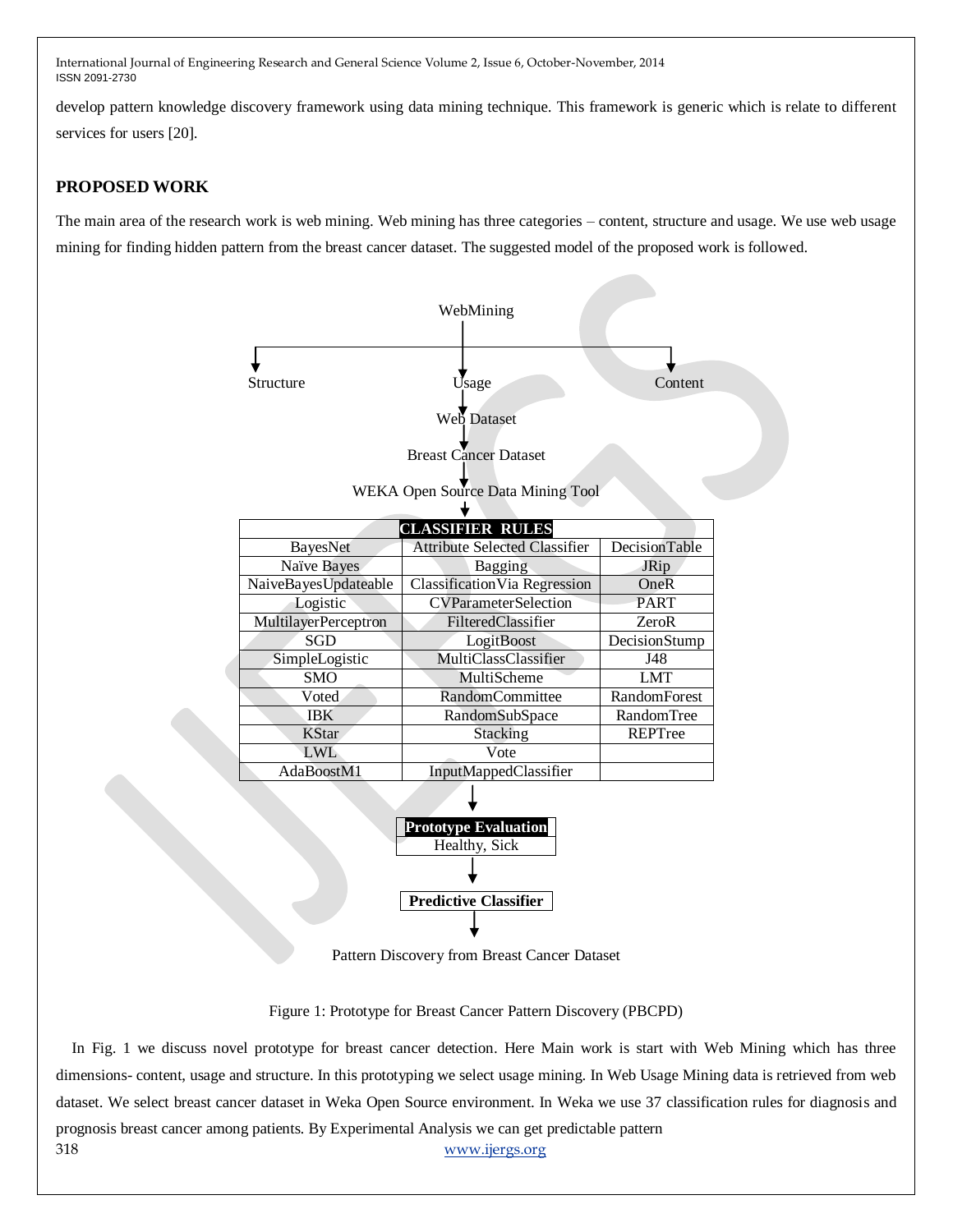develop pattern knowledge discovery framework using data mining technique. This framework is generic which is relate to different services for users [20].

# **PROPOSED WORK**

The main area of the research work is web mining. Web mining has three categories – content, structure and usage. We use web usage mining for finding hidden pattern from the breast cancer dataset. The suggested model of the proposed work is followed.



Pattern Discovery from Breast Cancer Dataset

Figure 1: Prototype for Breast Cancer Pattern Discovery (PBCPD)

318 [www.ijergs.org](http://www.ijergs.org/) In Fig. 1 we discuss novel prototype for breast cancer detection. Here Main work is start with Web Mining which has three dimensions- content, usage and structure. In this prototyping we select usage mining. In Web Usage Mining data is retrieved from web dataset. We select breast cancer dataset in Weka Open Source environment. In Weka we use 37 classification rules for diagnosis and prognosis breast cancer among patients. By Experimental Analysis we can get predictable pattern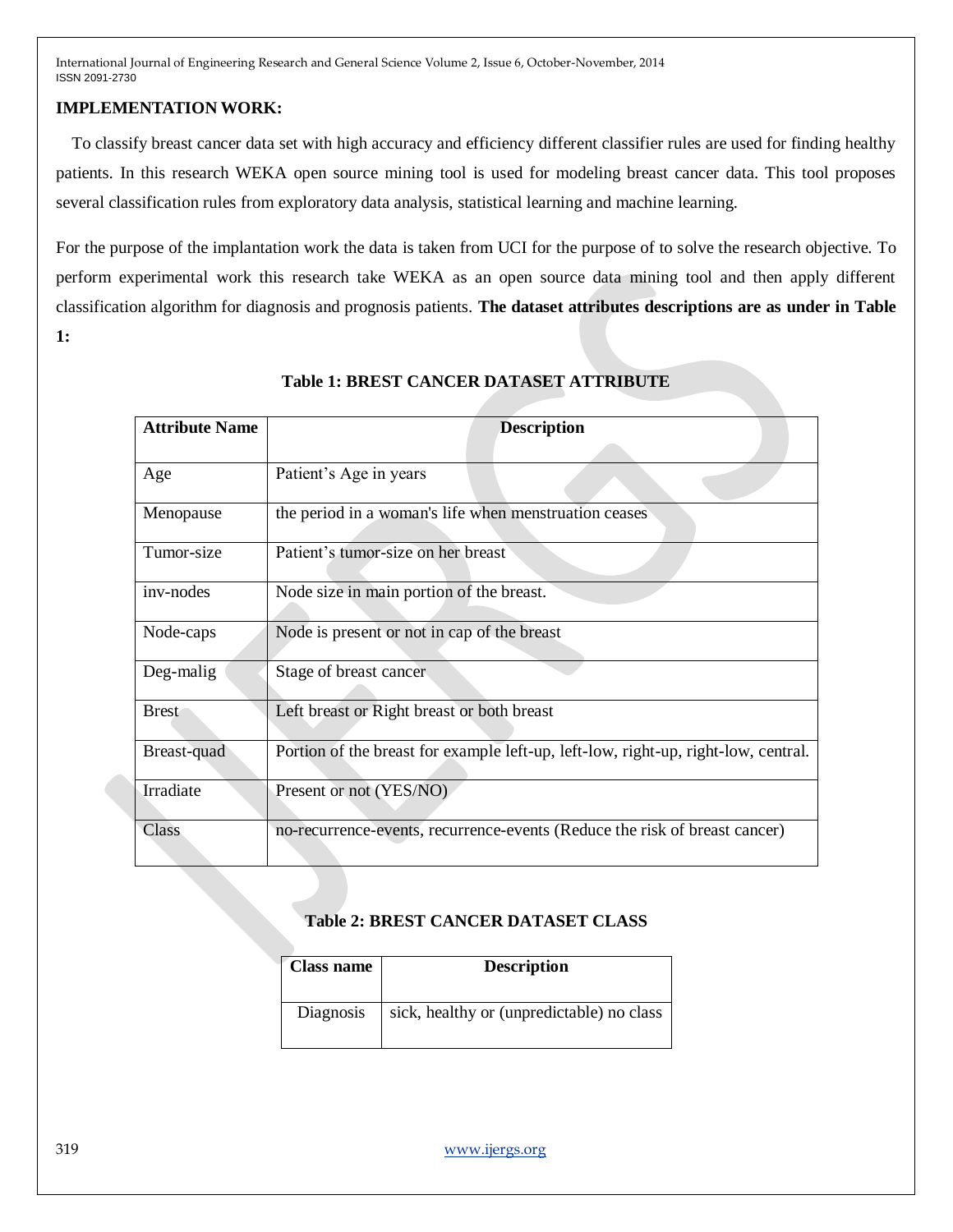## **IMPLEMENTATION WORK:**

To classify breast cancer data set with high accuracy and efficiency different classifier rules are used for finding healthy patients. In this research WEKA open source mining tool is used for modeling breast cancer data. This tool proposes several classification rules from exploratory data analysis, statistical learning and machine learning.

For the purpose of the implantation work the data is taken from UCI for the purpose of to solve the research objective. To perform experimental work this research take WEKA as an open source data mining tool and then apply different classification algorithm for diagnosis and prognosis patients. **The dataset attributes descriptions are as under in Table 1:**

| <b>Attribute Name</b> | <b>Description</b>                                                                 |
|-----------------------|------------------------------------------------------------------------------------|
| Age                   | Patient's Age in years                                                             |
| Menopause             | the period in a woman's life when menstruation ceases                              |
| Tumor-size            | Patient's tumor-size on her breast                                                 |
| inv-nodes             | Node size in main portion of the breast.                                           |
| Node-caps             | Node is present or not in cap of the breast                                        |
| Deg-malig             | Stage of breast cancer                                                             |
| <b>Brest</b>          | Left breast or Right breast or both breast                                         |
| Breast-quad           | Portion of the breast for example left-up, left-low, right-up, right-low, central. |
| Irradiate             | Present or not (YES/NO)                                                            |
| Class                 | no-recurrence-events, recurrence-events (Reduce the risk of breast cancer)         |

# **Table 1: BREST CANCER DATASET ATTRIBUTE**

## **Table 2: BREST CANCER DATASET CLASS**

| <b>Class name</b> | <b>Description</b>                        |
|-------------------|-------------------------------------------|
| Diagnosis         | sick, healthy or (unpredictable) no class |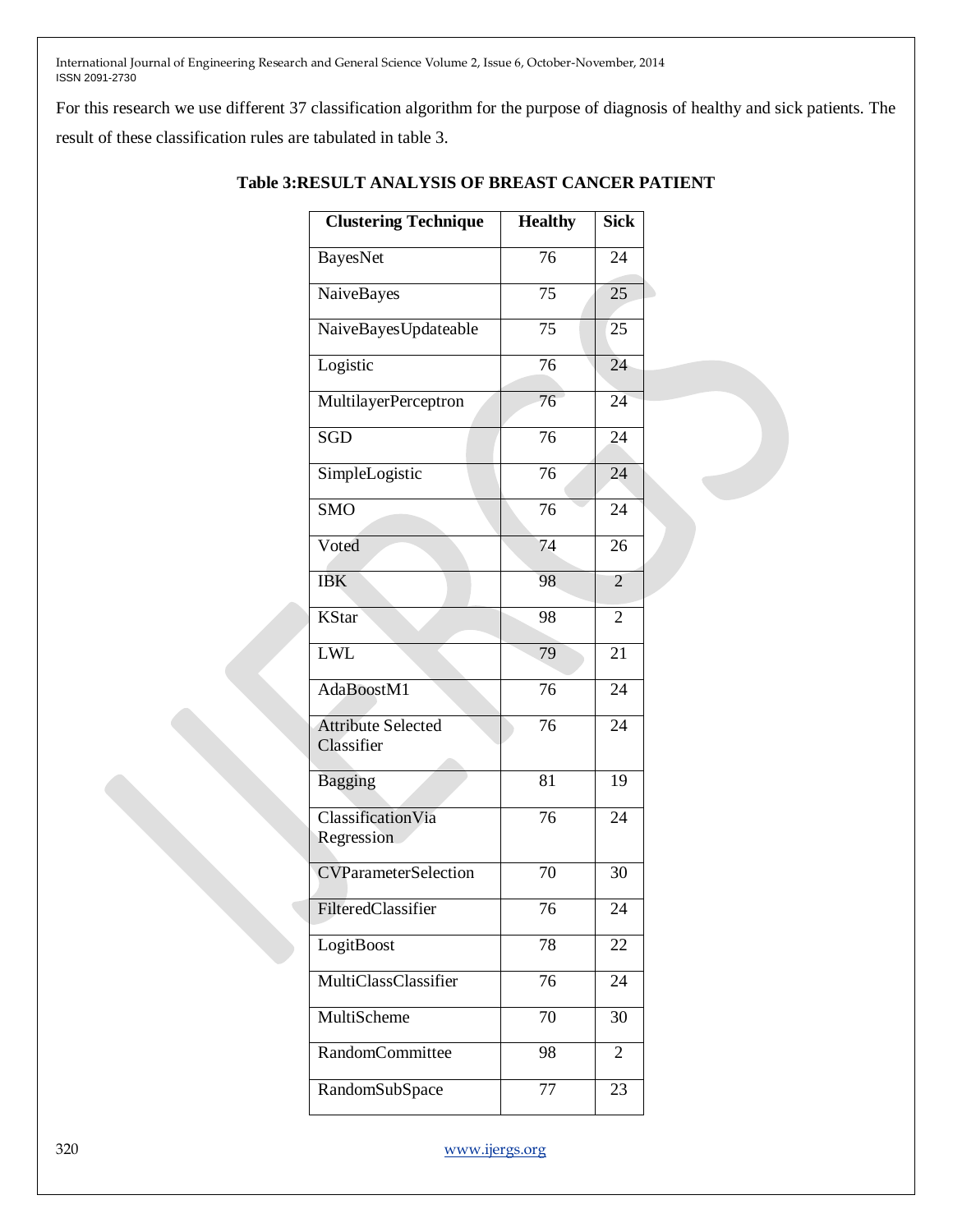For this research we use different 37 classification algorithm for the purpose of diagnosis of healthy and sick patients. The result of these classification rules are tabulated in table 3.

| <b>Clustering Technique</b>             | <b>Healthy</b>  | <b>Sick</b>     |  |
|-----------------------------------------|-----------------|-----------------|--|
| BayesNet                                | 76              | 24              |  |
| NaiveBayes                              | 75              | 25              |  |
| NaiveBayesUpdateable                    | 75              | 25              |  |
| Logistic                                | 76              | 24              |  |
| MultilayerPerceptron                    | $\overline{76}$ | 24              |  |
| SGD                                     | $\overline{76}$ | 24              |  |
| SimpleLogistic                          | $\overline{76}$ | $\overline{24}$ |  |
| $\overline{\text{SMO}}$                 | 76              | 24              |  |
| Voted                                   | 74              | 26              |  |
| <b>IBK</b>                              | 98              | 2               |  |
| <b>KStar</b>                            | 98              | 2               |  |
| LWL                                     | 79              | 21              |  |
| AdaBoostM1                              | $\overline{76}$ | 24              |  |
| <b>Attribute Selected</b><br>Classifier | $\overline{76}$ | 24              |  |
| <b>Bagging</b>                          | 81              | 19              |  |
| <b>Classification Via</b><br>Regression | 76              | 24              |  |
| <b>CVParameterSelection</b>             | 70              | 30              |  |
| FilteredClassifier                      | 76              | 24              |  |
| LogitBoost                              | 78              | 22              |  |
| MultiClassClassifier                    | 76              | 24              |  |
| MultiScheme                             | 70              | 30              |  |
| <b>RandomCommittee</b>                  | 98              | 2               |  |
| RandomSubSpace                          | 77              | 23              |  |

# **Table 3:RESULT ANALYSIS OF BREAST CANCER PATIENT**

320 [www.ijergs.org](http://www.ijergs.org/)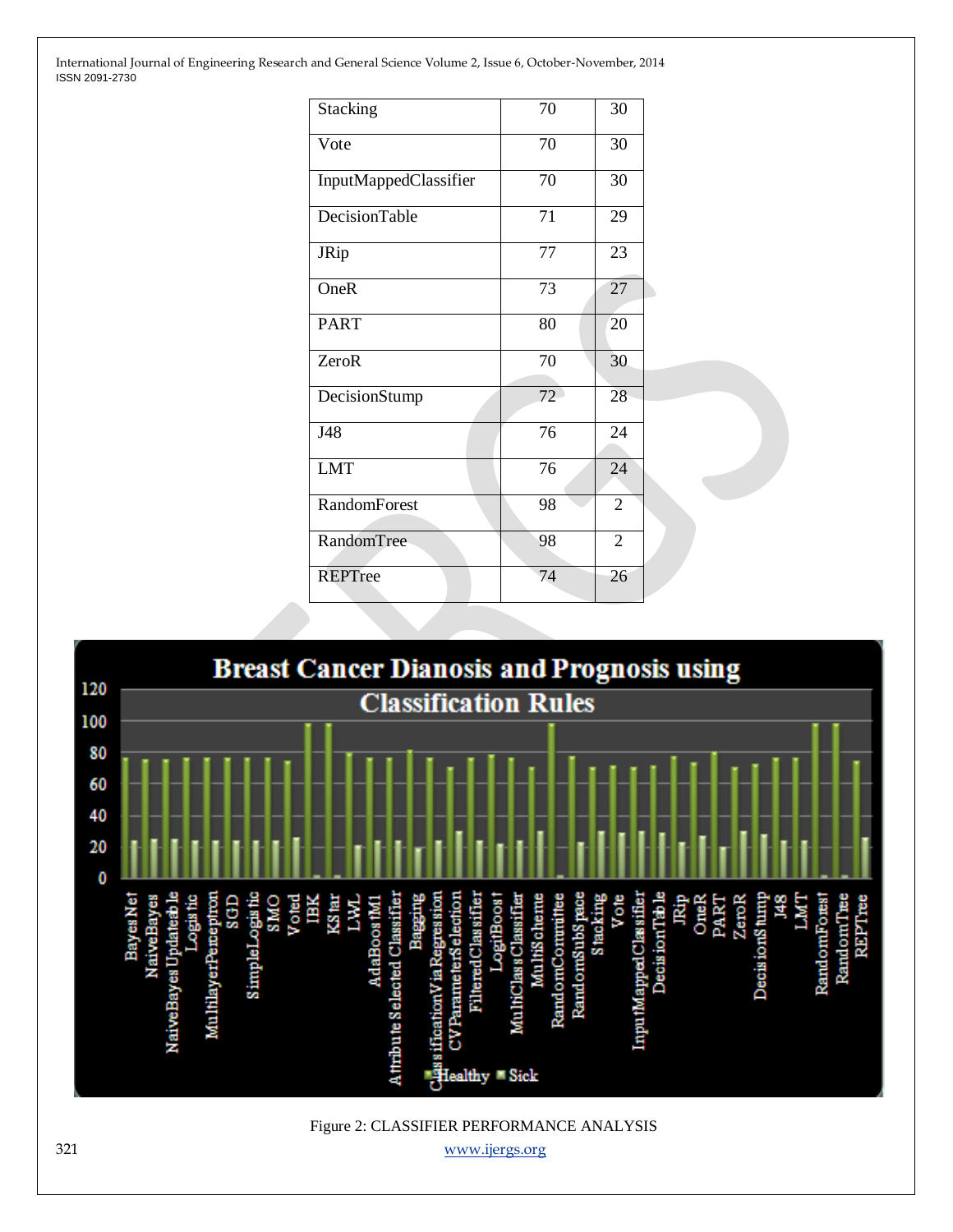| Stacking              | 70 | 30              |  |
|-----------------------|----|-----------------|--|
| Vote                  | 70 | 30              |  |
| InputMappedClassifier | 70 | 30              |  |
| DecisionTable         | 71 | 29              |  |
| JRip                  | 77 | 23              |  |
| OneR                  | 73 | $\overline{27}$ |  |
| <b>PART</b>           | 80 | 20              |  |
| ZeroR                 | 70 | 30              |  |
| DecisionStump         | 72 | 28              |  |
| J48                   | 76 | 24              |  |
| <b>LMT</b>            | 76 | 24              |  |
| <b>RandomForest</b>   | 98 | $\overline{2}$  |  |
| RandomTree            | 98 | $\overline{2}$  |  |
| <b>REPTree</b>        | 74 | 26              |  |



321 [www.ijergs.org](http://www.ijergs.org/)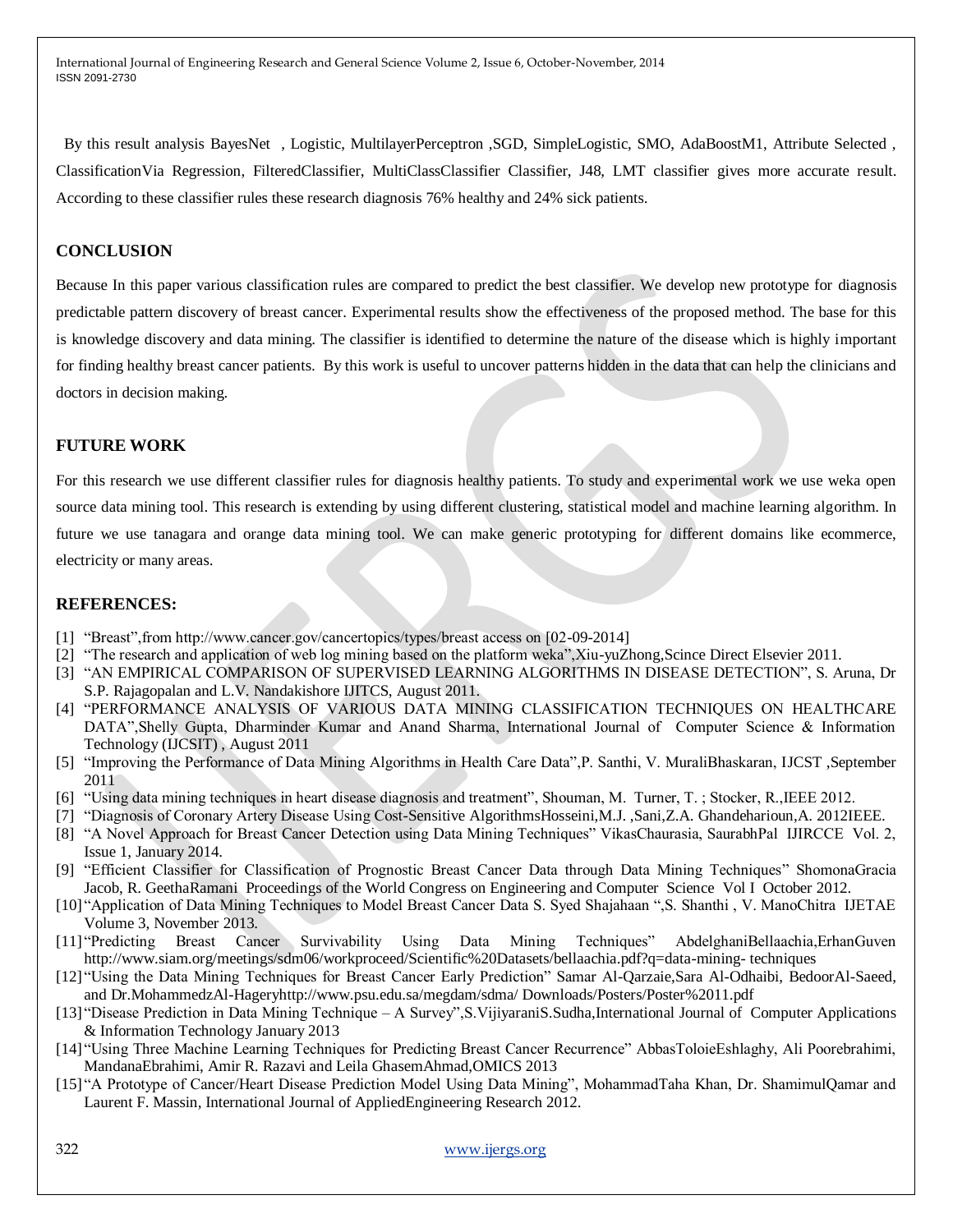By this result analysis BayesNet , Logistic, MultilayerPerceptron ,SGD, SimpleLogistic, SMO, AdaBoostM1, Attribute Selected , ClassificationVia Regression, FilteredClassifier, MultiClassClassifier Classifier, J48, LMT classifier gives more accurate result. According to these classifier rules these research diagnosis 76% healthy and 24% sick patients.

#### **CONCLUSION**

Because In this paper various classification rules are compared to predict the best classifier. We develop new prototype for diagnosis predictable pattern discovery of breast cancer. Experimental results show the effectiveness of the proposed method. The base for this is knowledge discovery and data mining. The classifier is identified to determine the nature of the disease which is highly important for finding healthy breast cancer patients. By this work is useful to uncover patterns hidden in the data that can help the clinicians and doctors in decision making.

#### **FUTURE WORK**

For this research we use different classifier rules for diagnosis healthy patients. To study and experimental work we use weka open source data mining tool. This research is extending by using different clustering, statistical model and machine learning algorithm. In future we use tanagara and orange data mining tool. We can make generic prototyping for different domains like ecommerce, electricity or many areas.

#### **REFERENCES:**

- [1] "Breast",from http://www.cancer.gov/cancertopics/types/breast access on [02-09-2014]
- [2] ―The research and application of web log mining based on the platform weka‖,Xiu-yuZhong,Scince Direct Elsevier 2011.
- [3] "AN EMPIRICAL COMPARISON OF SUPERVISED LEARNING ALGORITHMS IN DISEASE DETECTION", S. Aruna, Dr S.P. Rajagopalan and L.V. Nandakishore IJITCS, August 2011.
- [4] "PERFORMANCE ANALYSIS OF VARIOUS DATA MINING CLASSIFICATION TECHNIQUES ON HEALTHCARE DATA",Shelly Gupta, Dharminder Kumar and Anand Sharma, International Journal of Computer Science & Information Technology (IJCSIT) , August 2011
- [5] "Improving the Performance of Data Mining Algorithms in Health Care Data", P. Santhi, V. MuraliBhaskaran, IJCST, September 2011
- [6] "Using data mining techniques in heart disease diagnosis and treatment", Shouman, M. Turner, T.; Stocker, R., IEEE 2012.
- [7] "Diagnosis of Coronary Artery Disease Using Cost-Sensitive AlgorithmsHosseini,M.J., Sani,Z.A. Ghandeharioun,A. 2012IEEE.
- [8] "A Novel Approach for Breast Cancer Detection using Data Mining Techniques" VikasChaurasia, SaurabhPal IJIRCCE Vol. 2, Issue 1, January 2014.
- [9] "Efficient Classifier for Classification of Prognostic Breast Cancer Data through Data Mining Techniques" ShomonaGracia Jacob, R. GeethaRamani Proceedings of the World Congress on Engineering and Computer Science Vol I October 2012.
- [10] "Application of Data Mining Techniques to Model Breast Cancer Data S. Syed Shajahaan ", S. Shanthi , V. ManoChitra IJETAE Volume 3, November 2013.
- [11] "Predicting Breast Cancer Survivability Using Data Mining Techniques" AbdelghaniBellaachia, ErhanGuven http://www.siam.org/meetings/sdm06/workproceed/Scientific%20Datasets/bellaachia.pdf?q=data-mining- techniques
- [12] "Using the Data Mining Techniques for Breast Cancer Early Prediction" Samar Al-Qarzaie,Sara Al-Odhaibi, BedoorAl-Saeed, and Dr.MohammedzAl-Hageryhttp://www.psu.edu.sa/megdam/sdma/ Downloads/Posters/Poster%2011.pdf
- [13] "Disease Prediction in Data Mining Technique A Survey", S. VijiyaraniS. Sudha, International Journal of Computer Applications & Information Technology January 2013
- [14] "Using Three Machine Learning Techniques for Predicting Breast Cancer Recurrence" AbbasToloieEshlaghy, Ali Poorebrahimi, MandanaEbrahimi, Amir R. Razavi and Leila GhasemAhmad,OMICS 2013
- [15] "A Prototype of Cancer/Heart Disease Prediction Model Using Data Mining", MohammadTaha Khan, Dr. ShamimulQamar and Laurent F. Massin, International Journal of AppliedEngineering Research 2012.